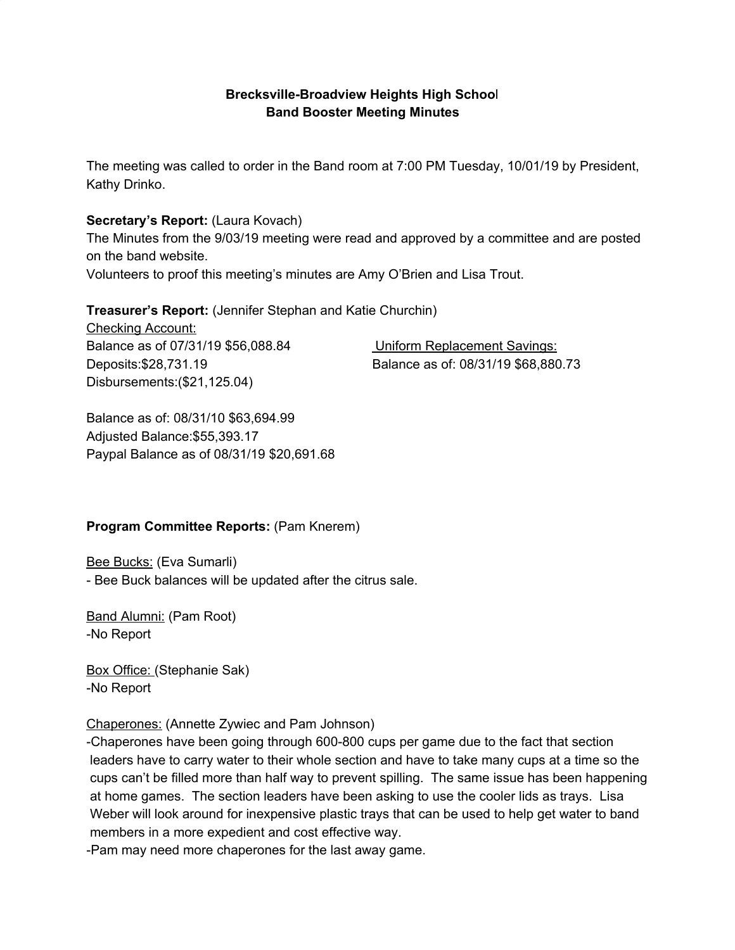## **Brecksville-Broadview Heights High Schoo**l **Band Booster Meeting Minutes**

The meeting was called to order in the Band room at 7:00 PM Tuesday, 10/01/19 by President, Kathy Drinko.

### **Secretary's Report:** (Laura Kovach)

The Minutes from the 9/03/19 meeting were read and approved by a committee and are posted on the band website.

Volunteers to proof this meeting's minutes are Amy O'Brien and Lisa Trout.

**Treasurer's Report:** (Jennifer Stephan and Katie Churchin)

Checking Account: Balance as of 07/31/19 \$56,088.84 Uniform Replacement Savings: Disbursements:(\$21,125.04)

Deposits:\$28,731.19 Balance as of: 08/31/19 \$68,880.73

Balance as of: 08/31/10 \$63,694.99 Adjusted Balance:\$55,393.17 Paypal Balance as of 08/31/19 \$20,691.68

## **Program Committee Reports:** (Pam Knerem)

Bee Bucks: (Eva Sumarli)

- Bee Buck balances will be updated after the citrus sale.

Band Alumni: (Pam Root) -No Report

Box Office: (Stephanie Sak) -No Report

Chaperones: (Annette Zywiec and Pam Johnson)

-Chaperones have been going through 600-800 cups per game due to the fact that section leaders have to carry water to their whole section and have to take many cups at a time so the cups can't be filled more than half way to prevent spilling. The same issue has been happening at home games. The section leaders have been asking to use the cooler lids as trays. Lisa Weber will look around for inexpensive plastic trays that can be used to help get water to band members in a more expedient and cost effective way.

-Pam may need more chaperones for the last away game.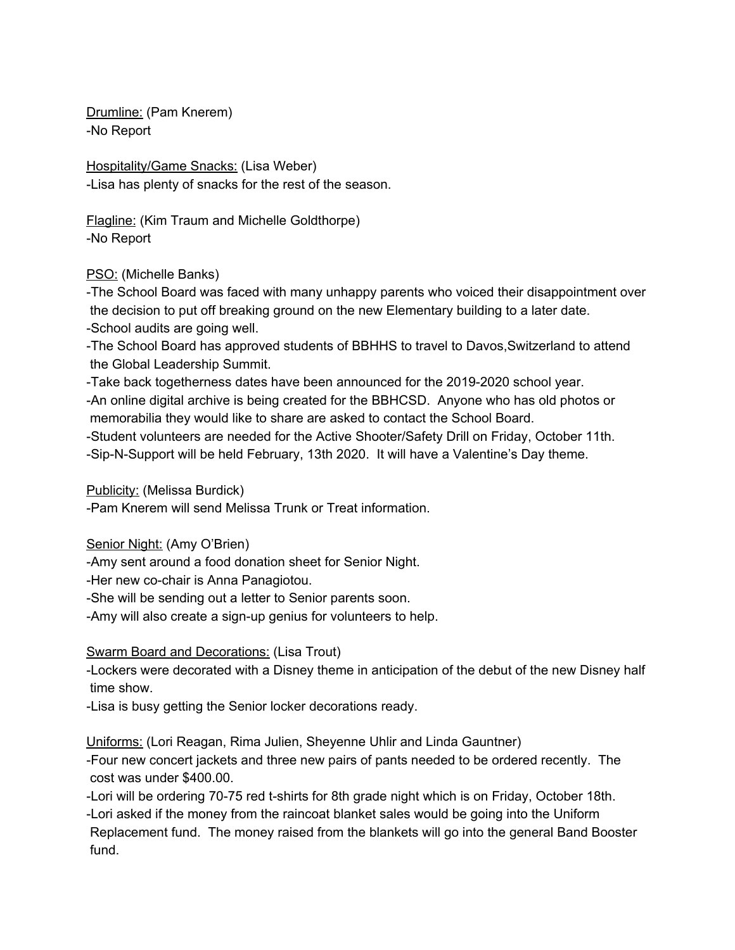Drumline: (Pam Knerem) -No Report

Hospitality/Game Snacks: (Lisa Weber) -Lisa has plenty of snacks for the rest of the season.

Flagline: (Kim Traum and Michelle Goldthorpe) -No Report

PSO: (Michelle Banks)

-The School Board was faced with many unhappy parents who voiced their disappointment over the decision to put off breaking ground on the new Elementary building to a later date. -School audits are going well.

-The School Board has approved students of BBHHS to travel to Davos,Switzerland to attend the Global Leadership Summit.

-Take back togetherness dates have been announced for the 2019-2020 school year. -An online digital archive is being created for the BBHCSD. Anyone who has old photos or memorabilia they would like to share are asked to contact the School Board.

-Student volunteers are needed for the Active Shooter/Safety Drill on Friday, October 11th. -Sip-N-Support will be held February, 13th 2020. It will have a Valentine's Day theme.

Publicity: (Melissa Burdick)

-Pam Knerem will send Melissa Trunk or Treat information.

Senior Night: (Amy O'Brien)

-Amy sent around a food donation sheet for Senior Night.

-Her new co-chair is Anna Panagiotou.

-She will be sending out a letter to Senior parents soon.

-Amy will also create a sign-up genius for volunteers to help.

# Swarm Board and Decorations: (Lisa Trout)

-Lockers were decorated with a Disney theme in anticipation of the debut of the new Disney half time show.

-Lisa is busy getting the Senior locker decorations ready.

Uniforms: (Lori Reagan, Rima Julien, Sheyenne Uhlir and Linda Gauntner)

-Four new concert jackets and three new pairs of pants needed to be ordered recently. The cost was under \$400.00.

-Lori will be ordering 70-75 red t-shirts for 8th grade night which is on Friday, October 18th.

-Lori asked if the money from the raincoat blanket sales would be going into the Uniform Replacement fund. The money raised from the blankets will go into the general Band Booster fund.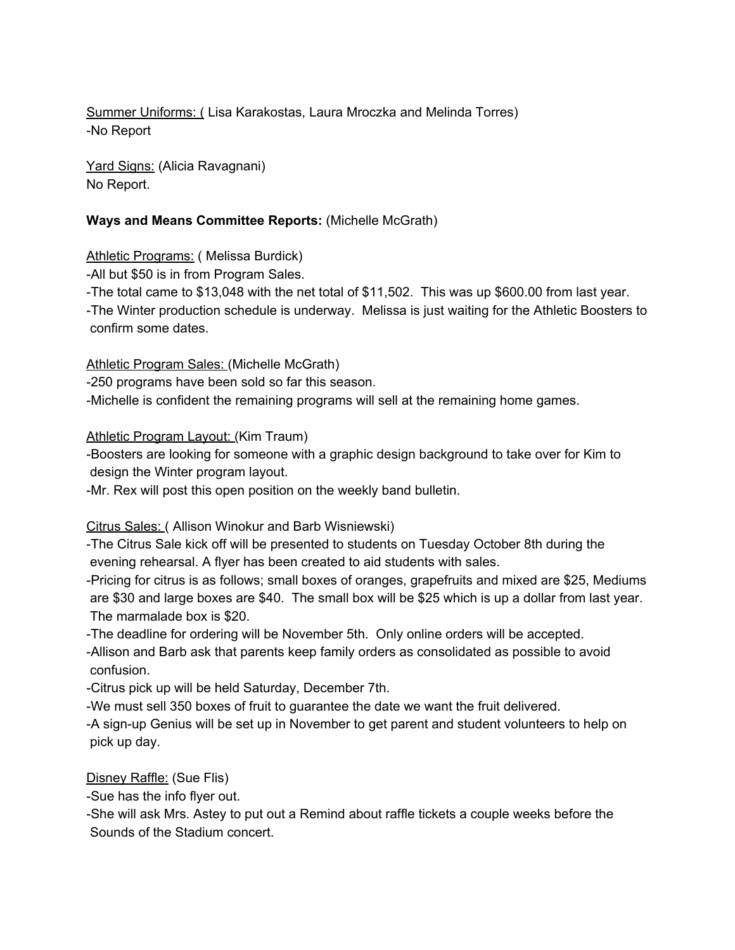Summer Uniforms: ( Lisa Karakostas, Laura Mroczka and Melinda Torres) -No Report

Yard Signs: (Alicia Ravagnani) No Report.

## **Ways and Means Committee Reports:** (Michelle McGrath)

Athletic Programs: ( Melissa Burdick)

-All but \$50 is in from Program Sales.

-The total came to \$13,048 with the net total of \$11,502. This was up \$600.00 from last year.

-The Winter production schedule is underway. Melissa is just waiting for the Athletic Boosters to confirm some dates.

#### Athletic Program Sales: (Michelle McGrath)

-250 programs have been sold so far this season.

-Michelle is confident the remaining programs will sell at the remaining home games.

#### Athletic Program Layout: (Kim Traum)

-Boosters are looking for someone with a graphic design background to take over for Kim to design the Winter program layout.

-Mr. Rex will post this open position on the weekly band bulletin.

## Citrus Sales: ( Allison Winokur and Barb Wisniewski)

-The Citrus Sale kick off will be presented to students on Tuesday October 8th during the evening rehearsal. A flyer has been created to aid students with sales.

-Pricing for citrus is as follows; small boxes of oranges, grapefruits and mixed are \$25, Mediums are \$30 and large boxes are \$40. The small box will be \$25 which is up a dollar from last year. The marmalade box is \$20.

-The deadline for ordering will be November 5th. Only online orders will be accepted.

-Allison and Barb ask that parents keep family orders as consolidated as possible to avoid confusion.

-Citrus pick up will be held Saturday, December 7th.

-We must sell 350 boxes of fruit to guarantee the date we want the fruit delivered.

-A sign-up Genius will be set up in November to get parent and student volunteers to help on pick up day.

Disney Raffle: (Sue Flis)

-Sue has the info flyer out.

-She will ask Mrs. Astey to put out a Remind about raffle tickets a couple weeks before the Sounds of the Stadium concert.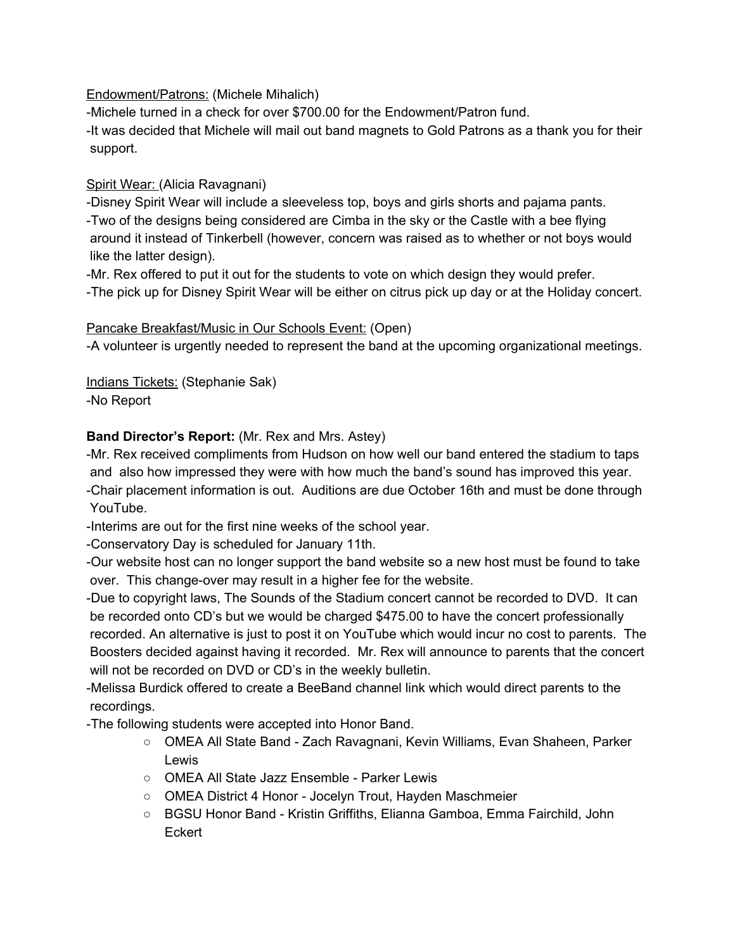Endowment/Patrons: (Michele Mihalich)

-Michele turned in a check for over \$700.00 for the Endowment/Patron fund.

-It was decided that Michele will mail out band magnets to Gold Patrons as a thank you for their support.

# Spirit Wear: (Alicia Ravagnani)

-Disney Spirit Wear will include a sleeveless top, boys and girls shorts and pajama pants. -Two of the designs being considered are Cimba in the sky or the Castle with a bee flying around it instead of Tinkerbell (however, concern was raised as to whether or not boys would like the latter design).

-Mr. Rex offered to put it out for the students to vote on which design they would prefer. -The pick up for Disney Spirit Wear will be either on citrus pick up day or at the Holiday concert.

# Pancake Breakfast/Music in Our Schools Event: (Open)

-A volunteer is urgently needed to represent the band at the upcoming organizational meetings.

Indians Tickets: (Stephanie Sak) -No Report

# **Band Director's Report:** (Mr. Rex and Mrs. Astey)

-Mr. Rex received compliments from Hudson on how well our band entered the stadium to taps and also how impressed they were with how much the band's sound has improved this year. -Chair placement information is out. Auditions are due October 16th and must be done through YouTube.

-Interims are out for the first nine weeks of the school year.

-Conservatory Day is scheduled for January 11th.

-Our website host can no longer support the band website so a new host must be found to take over. This change-over may result in a higher fee for the website.

-Due to copyright laws, The Sounds of the Stadium concert cannot be recorded to DVD. It can be recorded onto CD's but we would be charged \$475.00 to have the concert professionally recorded. An alternative is just to post it on YouTube which would incur no cost to parents. The Boosters decided against having it recorded. Mr. Rex will announce to parents that the concert will not be recorded on DVD or CD's in the weekly bulletin.

-Melissa Burdick offered to create a BeeBand channel link which would direct parents to the recordings.

-The following students were accepted into Honor Band.

- OMEA All State Band Zach Ravagnani, Kevin Williams, Evan Shaheen, Parker Lewis
- OMEA All State Jazz Ensemble Parker Lewis
- OMEA District 4 Honor Jocelyn Trout, Hayden Maschmeier
- **○** BGSU Honor Band Kristin Griffiths, Elianna Gamboa, Emma Fairchild, John **Eckert**